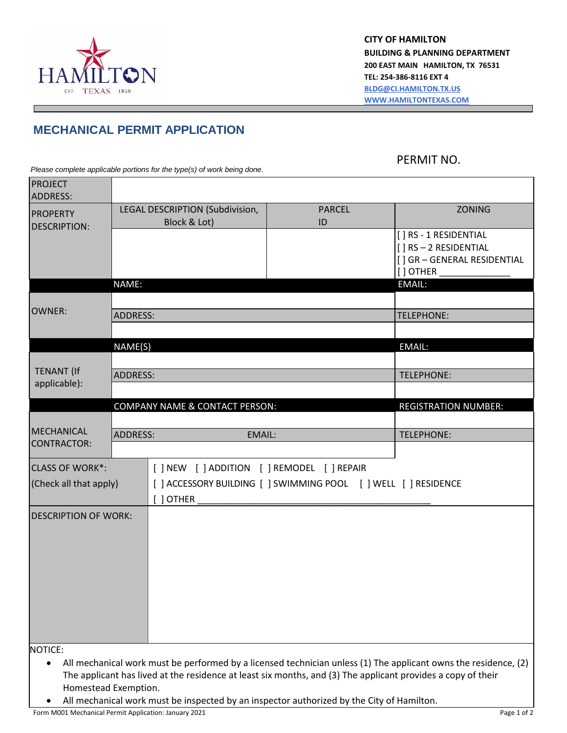

**CITY OF HAMILTON BUILDING & PLANNING DEPARTMENT 200 EAST MAIN HAMILTON, TX 76531 TEL: 254-386-8116 EXT 4 [BLDG@CI.HAMILTON.TX.US](mailto:BLDG@CI.HAMILTON.TX.US) [WWW.HAMILTONTEXAS.COM](http://www.hamiltontexas.com/)**

## **MECHANICAL PERMIT APPLICATION**

PERMIT NO.

*Please complete applicable portions for the type(s) of work being done.*

| <b>PROJECT</b><br><b>ADDRESS:</b> |                           |                                                                 |                                                                                                              |                                                                                                                 |
|-----------------------------------|---------------------------|-----------------------------------------------------------------|--------------------------------------------------------------------------------------------------------------|-----------------------------------------------------------------------------------------------------------------|
| <b>PROPERTY</b>                   |                           | LEGAL DESCRIPTION (Subdivision,                                 | <b>PARCEL</b>                                                                                                | <b>ZONING</b>                                                                                                   |
| <b>DESCRIPTION:</b>               |                           | Block & Lot)                                                    | ID                                                                                                           |                                                                                                                 |
|                                   |                           |                                                                 |                                                                                                              | [ ] RS - 1 RESIDENTIAL                                                                                          |
|                                   |                           |                                                                 |                                                                                                              | [] RS-2 RESIDENTIAL<br>[] GR - GENERAL RESIDENTIAL                                                              |
|                                   |                           |                                                                 |                                                                                                              | [] OTHER                                                                                                        |
|                                   | NAME:                     |                                                                 |                                                                                                              | EMAIL:                                                                                                          |
|                                   |                           |                                                                 |                                                                                                              |                                                                                                                 |
| <b>OWNER:</b>                     | <b>ADDRESS:</b>           |                                                                 |                                                                                                              | <b>TELEPHONE:</b>                                                                                               |
|                                   |                           |                                                                 |                                                                                                              |                                                                                                                 |
|                                   | NAME(S)                   |                                                                 |                                                                                                              | EMAIL:                                                                                                          |
|                                   |                           |                                                                 |                                                                                                              |                                                                                                                 |
| <b>TENANT (If</b>                 | <b>ADDRESS:</b>           |                                                                 |                                                                                                              | <b>TELEPHONE:</b>                                                                                               |
| applicable):                      |                           |                                                                 |                                                                                                              |                                                                                                                 |
|                                   |                           | <b>COMPANY NAME &amp; CONTACT PERSON:</b>                       |                                                                                                              | <b>REGISTRATION NUMBER:</b>                                                                                     |
|                                   |                           |                                                                 |                                                                                                              |                                                                                                                 |
| <b>MECHANICAL</b>                 | <b>ADDRESS:</b><br>EMAIL: |                                                                 |                                                                                                              | <b>TELEPHONE:</b>                                                                                               |
| <b>CONTRACTOR:</b>                |                           |                                                                 |                                                                                                              |                                                                                                                 |
| <b>CLASS OF WORK*:</b>            |                           | [ ] NEW [ ] ADDITION [ ] REMODEL [ ] REPAIR                     |                                                                                                              |                                                                                                                 |
| (Check all that apply)            |                           | [ ] ACCESSORY BUILDING [ ] SWIMMING POOL [ ] WELL [ ] RESIDENCE |                                                                                                              |                                                                                                                 |
|                                   |                           | [ ] OTHER                                                       |                                                                                                              |                                                                                                                 |
| <b>DESCRIPTION OF WORK:</b>       |                           |                                                                 |                                                                                                              |                                                                                                                 |
|                                   |                           |                                                                 |                                                                                                              |                                                                                                                 |
|                                   |                           |                                                                 |                                                                                                              |                                                                                                                 |
|                                   |                           |                                                                 |                                                                                                              |                                                                                                                 |
|                                   |                           |                                                                 |                                                                                                              |                                                                                                                 |
|                                   |                           |                                                                 |                                                                                                              |                                                                                                                 |
|                                   |                           |                                                                 |                                                                                                              |                                                                                                                 |
|                                   |                           |                                                                 |                                                                                                              |                                                                                                                 |
|                                   |                           |                                                                 |                                                                                                              |                                                                                                                 |
|                                   |                           |                                                                 |                                                                                                              |                                                                                                                 |
| NOTICE:<br>$\bullet$              |                           |                                                                 |                                                                                                              | All mechanical work must be performed by a licensed technician unless (1) The applicant owns the residence, (2) |
|                                   |                           |                                                                 | The applicant has lived at the residence at least six months, and (3) The applicant provides a copy of their |                                                                                                                 |
| Homestead Exemption.              |                           |                                                                 |                                                                                                              |                                                                                                                 |

All mechanical work must be inspected by an inspector authorized by the City of Hamilton.